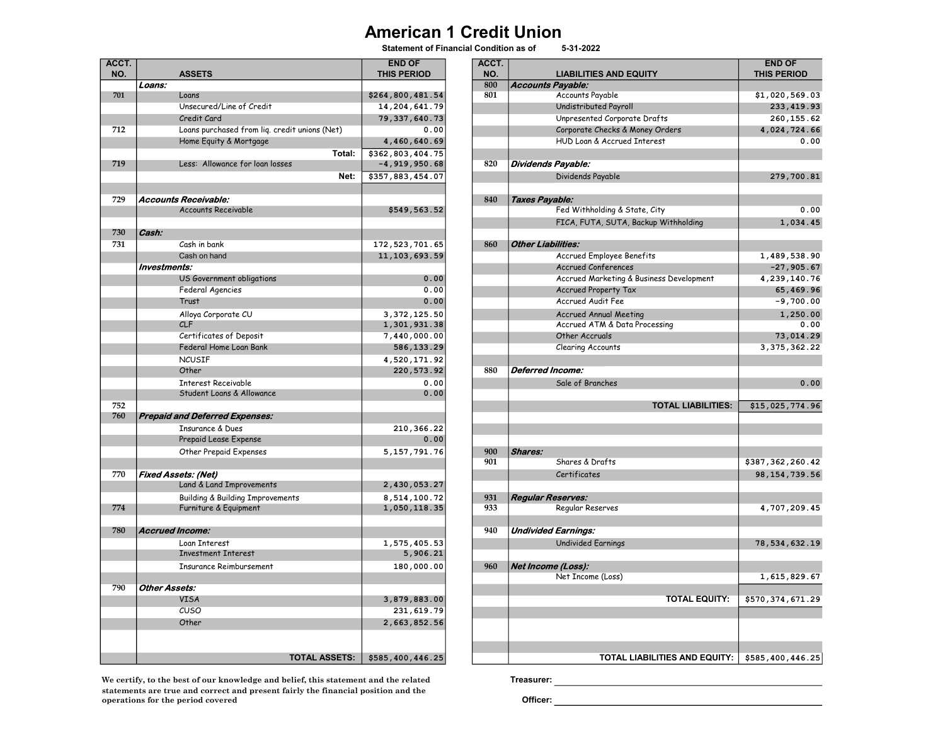## **American 1 Credit Union**<br>Statement of Financial Condition as of 5-31-2022

Statement of Financial Condition as of

| ACCT.<br>NO. |                      | <b>ASSETS</b>                                 | <b>END OF</b><br><b>THIS PERIOD</b> | ACCT.<br>NO. | <b>LIABILITIES AND EQUITY</b>                  | <b>END OF</b><br><b>THIS PERIOD</b> |
|--------------|----------------------|-----------------------------------------------|-------------------------------------|--------------|------------------------------------------------|-------------------------------------|
|              | Loans:               |                                               |                                     | 800          | <b>Accounts Payable:</b>                       |                                     |
| 701          |                      | Loans                                         | \$264,800,481.54                    | 801          | Accounts Payable                               | \$1,020,569.                        |
|              |                      | Unsecured/Line of Credit                      | 14, 204, 641.79                     |              | Undistributed Payroll                          | 233,419.                            |
|              |                      | Credit Card                                   | 79, 337, 640. 73                    |              | Unpresented Corporate Drafts                   | 260, 155.                           |
| 712          |                      | Loans purchased from lig. credit unions (Net) | 0.00                                |              | Corporate Checks & Money Orders                | 4,024,724.                          |
|              |                      |                                               |                                     |              | HUD Loan & Accrued Interest                    | 0.                                  |
|              |                      | Home Equity & Mortgage<br>Total:              | 4,460,640.69<br>\$362,803,404.75    |              |                                                |                                     |
| 719          |                      | Less: Allowance for loan losses               | $-4, 919, 950.68$                   | 820          | <b>Dividends Payable:</b>                      |                                     |
|              |                      | Net:                                          | \$357,883,454.07                    |              | Dividends Payable                              | 279,700.                            |
|              |                      |                                               |                                     |              |                                                |                                     |
| 729          |                      | Accounts Receivable:                          |                                     | 840          | Taxes Payable:                                 |                                     |
|              |                      | <b>Accounts Receivable</b>                    | \$549,563.52                        |              | Fed Withholding & State, City                  | 0.                                  |
|              |                      |                                               |                                     |              | FICA, FUTA, SUTA, Backup Withholding           | 1,034.                              |
| 730          | Cash:                |                                               |                                     |              |                                                |                                     |
| 731          |                      | Cash in bank                                  | 172, 523, 701.65                    | 860          | <b>Other Liabilities:</b>                      |                                     |
|              |                      | Cash on hand                                  | 11, 103, 693.59                     |              | Accrued Employee Benefits                      | 1,489,538.                          |
|              | Investments:         |                                               |                                     |              | <b>Accrued Conferences</b>                     | $-27,905.$                          |
|              |                      | US Government obligations                     | 0.00                                |              | Accrued Marketing & Business Development       | 4,239,140.                          |
|              |                      | Federal Agencies                              | 0.00                                |              | <b>Accrued Property Tax</b>                    | 65,469.                             |
|              |                      | Trust                                         | 0.00                                |              | <b>Accrued Audit Fee</b>                       | $-9,700.$                           |
|              |                      | Alloya Corporate CU                           | 3,372,125.50                        |              | <b>Accrued Annual Meeting</b>                  | 1,250.                              |
|              |                      | CLF                                           | 1,301,931.38                        |              | Accrued ATM & Data Processing                  | 0.                                  |
|              |                      | Certificates of Deposit                       | 7,440,000.00                        |              | Other Accruals                                 | 73,014.                             |
|              |                      | <b>Federal Home Loan Bank</b>                 | 586,133.29                          |              | Clearing Accounts                              | 3, 375, 362.                        |
|              |                      | <b>NCUSTF</b>                                 | 4,520,171.92                        |              |                                                |                                     |
|              |                      | Other                                         | 220,573.92                          | 880          | Deferred Income:                               |                                     |
|              |                      | <b>Interest Receivable</b>                    | 0.00                                |              | Sale of Branches                               | $\mathbf{0}$ .                      |
|              |                      | Student Loans & Allowance                     | 0.00                                |              |                                                |                                     |
| 752          |                      |                                               |                                     |              | <b>TOTAL LIABILITIES:</b>                      | \$15,025,774.                       |
| 760          |                      | <b>Prepaid and Deferred Expenses:</b>         |                                     |              |                                                |                                     |
|              |                      | <b>Insurance &amp; Dues</b>                   | 210,366.22                          |              |                                                |                                     |
|              |                      | Prepaid Lease Expense                         | 0.00                                |              |                                                |                                     |
|              |                      | Other Prepaid Expenses                        | 5, 157, 791.76                      | 900          | <b>Shares:</b>                                 |                                     |
|              |                      |                                               |                                     | 901          | Shares & Drafts                                | \$387,362,260.                      |
| 770          |                      | <b>Fixed Assets: (Net)</b>                    |                                     |              | Certificates                                   | 98, 154, 739.                       |
|              |                      | Land & Land Improvements                      | 2,430,053.27                        |              |                                                |                                     |
|              |                      | <b>Building &amp; Building Improvements</b>   | 8,514,100.72                        | 931          | <b>Regular Reserves:</b>                       |                                     |
| 774          |                      | Furniture & Equipment                         | 1,050,118.35                        | 933          | Regular Reserves                               | 4,707,209.                          |
|              |                      |                                               |                                     |              |                                                |                                     |
| 780          |                      | <b>Accrued Income:</b>                        |                                     | 940          | <b>Undivided Earnings:</b>                     |                                     |
|              |                      | Loan Interest                                 | 1,575,405.53                        |              | <b>Undivided Earnings</b>                      | 78,534,632.                         |
|              |                      | <b>Investment Interest</b>                    | 5,906.21                            |              |                                                |                                     |
|              |                      | <b>Insurance Reimbursement</b>                | 180,000.00                          | 960          | Net Income (Loss):                             |                                     |
|              |                      |                                               |                                     |              | Net Income (Loss)                              | 1,615,829.                          |
| 790          | <b>Other Assets:</b> |                                               |                                     |              |                                                |                                     |
|              |                      | <b>VISA</b>                                   | 3,879,883.00                        |              | <b>TOTAL EQUITY:</b>                           | \$570,374,671.                      |
|              |                      | CUSO                                          | 231,619.79                          |              |                                                |                                     |
|              |                      | Other                                         | 2,663,852.56                        |              |                                                |                                     |
|              |                      |                                               |                                     |              |                                                |                                     |
|              |                      | <b>TOTAL ASSETS:</b>                          | \$585,400,446.25                    |              | TOTAL LIABILITIES AND EQUITY:   \$585,400,446. |                                     |
|              |                      |                                               |                                     |              |                                                |                                     |

We certify, to the best of our knowledge and belief, this statement and the related Treasurer: statements are true and correct and present fairly the financial position and the operations for the period covered  $\overline{O}$  officer:

| CCT.<br>NO. |                      | <b>ASSETS</b>                                   | <b>END OF</b><br><b>THIS PERIOD</b>   | ACCT.<br>NO. | <b>LIABILITIES AND EQUITY</b>            | <b>END OF</b><br><b>THIS PERIOD</b> |
|-------------|----------------------|-------------------------------------------------|---------------------------------------|--------------|------------------------------------------|-------------------------------------|
|             | Loans:               |                                                 |                                       | 800          | <b>Accounts Payable:</b>                 |                                     |
| 701         |                      | Loans                                           | \$264,800,481.54                      | 801          | Accounts Payable                         | \$1,020,569.03                      |
|             |                      | Unsecured/Line of Credit                        | 14, 204, 641.79                       |              | Undistributed Payroll                    | 233, 419.93                         |
|             |                      | Credit Card                                     | 79, 337, 640.73                       |              | Unpresented Corporate Drafts             | 260, 155.62                         |
| 712         |                      | Loans purchased from liq. credit unions (Net)   | 0.00                                  |              | Corporate Checks & Money Orders          | 4,024,724.66                        |
|             |                      | Home Equity & Mortgage                          | 4,460,640.69                          |              | HUD Loan & Accrued Interest              | 0.00                                |
| 719         |                      | Total:<br>Less: Allowance for loan losses       | \$362,803,404.75<br>$-4, 919, 950.68$ | 820          | <b>Dividends Payable:</b>                |                                     |
|             |                      | Net:                                            | \$357,883,454.07                      |              | Dividends Payable                        | 279,700.81                          |
| 729         |                      | Accounts Receivable:                            |                                       | 840          | Taxes Payable:                           |                                     |
|             |                      | <b>Accounts Receivable</b>                      | \$549,563.52                          |              | Fed Withholding & State, City            | 0.00                                |
| 730         | Cash:                |                                                 |                                       |              | FICA, FUTA, SUTA, Backup Withholding     | 1,034.45                            |
| 731         |                      | Cash in bank                                    | 172, 523, 701.65                      | 860          | <b>Other Liabilities:</b>                |                                     |
|             |                      | Cash on hand                                    | 11, 103, 693.59                       |              | <b>Accrued Employee Benefits</b>         | 1,489,538.90                        |
|             | Investments:         |                                                 |                                       |              | <b>Accrued Conferences</b>               | $-27,905.67$                        |
|             |                      | US Government obligations                       | 0.00                                  |              | Accrued Marketing & Business Development | 4,239,140.76                        |
|             |                      | Federal Agencies                                | 0.00                                  |              | Accrued Property Tax                     | 65,469.96                           |
|             |                      | Trust                                           | 0.00                                  |              | Accrued Audit Fee                        | $-9,700.00$                         |
|             |                      | Alloya Corporate CU                             | 3,372,125.50                          |              | <b>Accrued Annual Meeting</b>            | 1,250.00                            |
|             |                      | CLF                                             | 1,301,931.38                          |              | Accrued ATM & Data Processing            | 0.00                                |
|             |                      | Certificates of Deposit                         | 7,440,000.00                          |              | Other Accruals                           | 73,014.29                           |
|             |                      | Federal Home Loan Bank                          | 586,133.29                            |              | Clearing Accounts                        | 3, 375, 362.22                      |
|             |                      | <b>NCUSIF</b>                                   | 4,520,171.92                          |              |                                          |                                     |
|             |                      | Other                                           | 220,573.92                            | 880          | <b>Deferred Income:</b>                  |                                     |
|             |                      | <b>Interest Receivable</b>                      | 0.00                                  |              | Sale of Branches                         | 0.00                                |
|             |                      | Student Loans & Allowance                       | 0.00                                  |              |                                          |                                     |
| 752         |                      |                                                 |                                       |              | <b>TOTAL LIABILITIES:</b>                | \$15,025,774.96                     |
| 760         |                      | <b>Prepaid and Deferred Expenses:</b>           |                                       |              |                                          |                                     |
|             |                      | <b>Insurance &amp; Dues</b>                     | 210,366.22                            |              |                                          |                                     |
|             |                      | Prepaid Lease Expense                           | 0.00                                  |              |                                          |                                     |
|             |                      | Other Prepaid Expenses                          | 5, 157, 791.76                        | 900          | <b>Shares:</b>                           |                                     |
|             |                      |                                                 |                                       | 901          | Shares & Drafts                          | \$387,362,260.42                    |
| 770         |                      | Fixed Assets: (Net)<br>Land & Land Improvements | 2,430,053.27                          |              | Certificates                             | 98, 154, 739.56                     |
|             |                      | <b>Building &amp; Building Improvements</b>     | 8,514,100.72                          | 931          | <b>Regular Reserves:</b>                 |                                     |
| 774         |                      | Furniture & Equipment                           | 1,050,118.35                          | 933          | Regular Reserves                         | 4,707,209.45                        |
| 780         |                      | <b>Accrued Income:</b>                          |                                       | 940          | <b>Undivided Earnings:</b>               |                                     |
|             |                      | Loan Interest                                   | 1,575,405.53                          |              | <b>Undivided Earnings</b>                | 78,534,632.19                       |
|             |                      | <b>Investment Interest</b>                      | 5,906.21                              |              |                                          |                                     |
|             |                      | <b>Insurance Reimbursement</b>                  | 180,000.00                            | 960          | Net Income (Loss):<br>Net Income (Loss)  | 1,615,829.67                        |
| 790         | <b>Other Assets:</b> |                                                 |                                       |              |                                          |                                     |
|             |                      | <b>VISA</b>                                     | 3,879,883.00                          |              | <b>TOTAL EQUITY:</b>                     | \$570,374,671.29                    |
|             |                      | CUSO                                            | 231, 619.79                           |              |                                          |                                     |
|             |                      | Other                                           | 2,663,852.56                          |              |                                          |                                     |
|             |                      |                                                 |                                       |              |                                          |                                     |
|             |                      | <b>TOTAL ASSETS:</b>                            | \$585,400,446.25                      |              | <b>TOTAL LIABILITIES AND EQUITY:</b>     | \$585,400,446.25                    |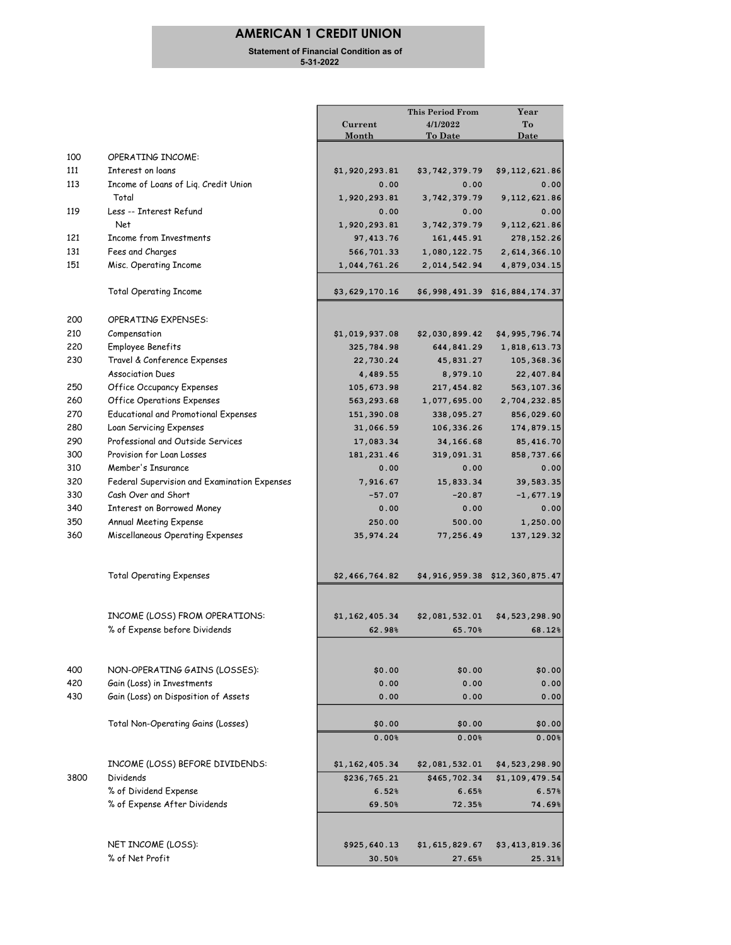## AMERICAN 1 CREDIT UNION

 Statement of Financial Condition as of 5-31-2022

|            |                                                    |                | <b>This Period From</b> | Year                           |
|------------|----------------------------------------------------|----------------|-------------------------|--------------------------------|
|            |                                                    | Current        | 4/1/2022                | To                             |
|            |                                                    | Month          | To Date                 | <u>Date</u>                    |
| 100        | <b>OPERATING INCOME:</b>                           |                |                         |                                |
| 111        | Interest on loans                                  |                |                         |                                |
| 113        | Income of Loans of Lig. Credit Union               | \$1,920,293.81 | \$3,742,379.79          | \$9,112,621.86                 |
|            | Total                                              | 0.00           | 0.00                    | 0.00                           |
|            |                                                    | 1,920,293.81   | 3,742,379.79            | 9,112,621.86                   |
| 119        | Less -- Interest Refund<br>Net                     | 0.00           | 0.00                    | 0.00                           |
|            |                                                    | 1,920,293.81   | 3,742,379.79            | 9, 112, 621.86                 |
| 121<br>131 | <b>Income from Investments</b><br>Fees and Charges | 97, 413.76     | 161, 445.91             | 278, 152.26                    |
|            |                                                    | 566,701.33     | 1,080,122.75            | 2,614,366.10                   |
| 151        | Misc. Operating Income                             | 1,044,761.26   | 2,014,542.94            | 4,879,034.15                   |
|            | <b>Total Operating Income</b>                      | \$3,629,170.16 |                         | \$6,998,491.39 \$16,884,174.37 |
| 200        | <b>OPERATING EXPENSES:</b>                         |                |                         |                                |
| 210        | Compensation                                       | \$1,019,937.08 | \$2,030,899.42          | \$4,995,796.74                 |
| 220        | Employee Benefits                                  | 325,784.98     | 644,841.29              | 1,818,613.73                   |
| 230        | Travel & Conference Expenses                       | 22,730.24      | 45,831.27               | 105, 368.36                    |
|            | <b>Association Dues</b>                            | 4,489.55       | 8,979.10                | 22,407.84                      |
| 250        | <b>Office Occupancy Expenses</b>                   | 105, 673.98    | 217,454.82              | 563,107.36                     |
| 260        | <b>Office Operations Expenses</b>                  | 563, 293.68    | 1,077,695.00            | 2,704,232.85                   |
| 270        | <b>Educational and Promotional Expenses</b>        | 151,390.08     | 338,095.27              | 856,029.60                     |
| 280        | Loan Servicing Expenses                            | 31,066.59      | 106,336.26              | 174,879.15                     |
| 290        | Professional and Outside Services                  | 17,083.34      | 34,166.68               | 85,416.70                      |
| 300        | Provision for Loan Losses                          | 181, 231.46    | 319,091.31              | 858,737.66                     |
| 310        | Member's Insurance                                 | 0.00           | 0.00                    | 0.00                           |
| 320        | Federal Supervision and Examination Expenses       | 7,916.67       | 15,833.34               | 39,583.35                      |
| 330        | Cash Over and Short                                | $-57.07$       | $-20.87$                |                                |
| 340        |                                                    |                |                         | $-1,677.19$                    |
| 350        | Interest on Borrowed Money                         | 0.00           | 0.00                    | 0.00                           |
| 360        | Annual Meeting Expense                             | 250.00         | 500.00                  | 1,250.00                       |
|            | Miscellaneous Operating Expenses                   | 35,974.24      | 77,256.49               | 137, 129.32                    |
|            | <b>Total Operating Expenses</b>                    | \$2,466,764.82 |                         | \$4,916,959.38 \$12,360,875.47 |
|            | INCOME (LOSS) FROM OPERATIONS:                     | \$1,162,405.34 | \$2,081,532.01          | \$4,523,298.90                 |
|            | % of Expense before Dividends                      | 62.98%         | 65.70%                  | 68.12%                         |
|            |                                                    |                |                         |                                |
| 400        | NON-OPERATING GAINS (LOSSES):                      | \$0.00         | \$0.00                  | \$0.00                         |
| 420        | Gain (Loss) in Investments                         | 0.00           | 0.00                    | 0.00                           |
| 430        | Gain (Loss) on Disposition of Assets               | 0.00           | 0.00                    | 0.00                           |
|            | Total Non-Operating Gains (Losses)                 | \$0.00         | \$0.00                  | \$0.00                         |
|            |                                                    | 0.00%          | 0.00%                   | 0.00%                          |
|            | INCOME (LOSS) BEFORE DIVIDENDS:                    | \$1,162,405.34 | \$2,081,532.01          | \$4,523,298.90                 |
| 3800       | Dividends                                          | \$236,765.21   | \$465,702.34            | \$1,109,479.54                 |
|            | % of Dividend Expense                              | 6.52%          | 6.65%                   | 6.57%                          |
|            | % of Expense After Dividends                       | 69.50%         | 72.35%                  | 74.69%                         |
|            |                                                    |                |                         |                                |
|            | NET INCOME (LOSS):                                 | \$925,640.13   | \$1,615,829.67          | \$3,413,819.36                 |
|            | % of Net Profit                                    | 30.50%         | 27.65%                  | 25.31%                         |